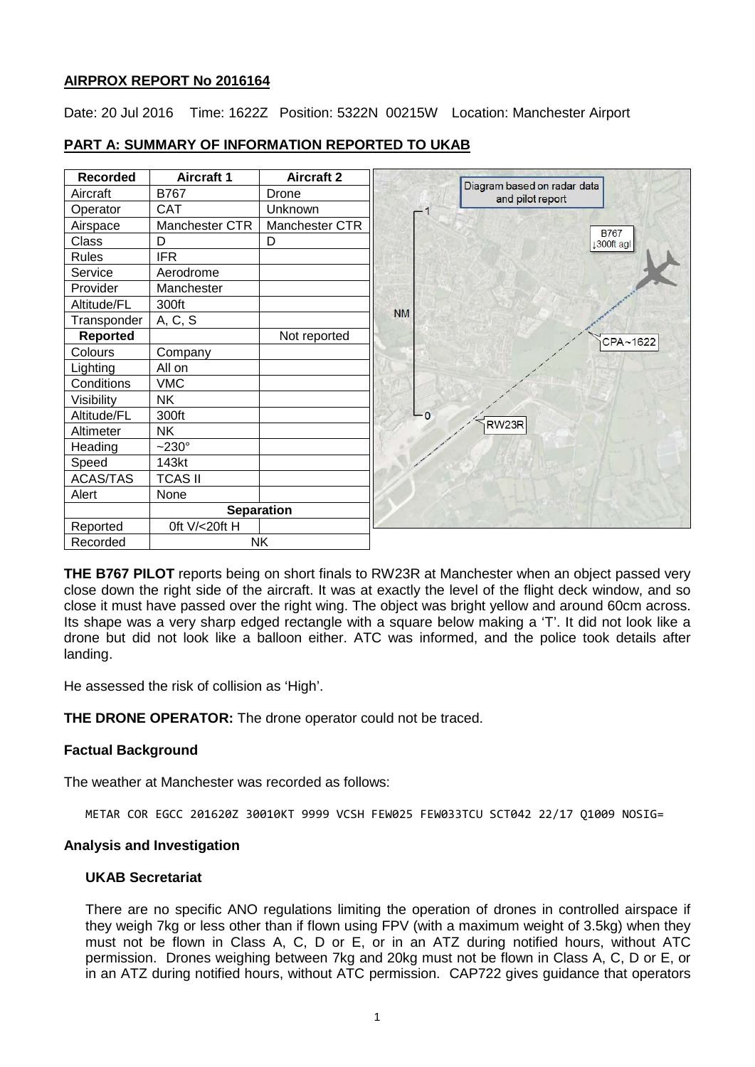## **AIRPROX REPORT No 2016164**

Date: 20 Jul 2016 Time: 1622Z Position: 5322N 00215W Location: Manchester Airport

| <b>Recorded</b> | <b>Aircraft 1</b> | <b>Aircraft 2</b> |           |                                                 |
|-----------------|-------------------|-------------------|-----------|-------------------------------------------------|
| Aircraft        | B767              | Drone             |           | Diagram based on radar data<br>and pilot report |
| Operator        | <b>CAT</b>        | Unknown           |           |                                                 |
| Airspace        | Manchester CTR    | Manchester CTR    |           | <b>B767</b>                                     |
| <b>Class</b>    | D                 | D                 |           | 1300ft agl                                      |
| <b>Rules</b>    | <b>IFR</b>        |                   |           |                                                 |
| Service         | Aerodrome         |                   |           |                                                 |
| Provider        | Manchester        |                   |           |                                                 |
| Altitude/FL     | 300ft             |                   |           |                                                 |
| Transponder     | A, C, S           |                   | <b>NM</b> |                                                 |
| <b>Reported</b> |                   | Not reported      |           | CPA~1622                                        |
| Colours         | Company           |                   |           |                                                 |
| Lighting        | All on            |                   |           |                                                 |
| Conditions      | <b>VMC</b>        |                   |           |                                                 |
| Visibility      | <b>NK</b>         |                   |           |                                                 |
| Altitude/FL     | 300ft             |                   | $-0$      |                                                 |
| Altimeter       | <b>NK</b>         |                   |           | RW <sub>23R</sub>                               |
| Heading         | $-230^\circ$      |                   |           |                                                 |
| Speed           | 143kt             |                   |           |                                                 |
| <b>ACAS/TAS</b> | <b>TCAS II</b>    |                   |           |                                                 |
| Alert           | None              |                   |           |                                                 |
|                 | <b>Separation</b> |                   |           |                                                 |
| Reported        | Oft V/<20ft H     |                   |           |                                                 |
| Recorded        | <b>NK</b>         |                   |           |                                                 |

# **PART A: SUMMARY OF INFORMATION REPORTED TO UKAB**

**THE B767 PILOT** reports being on short finals to RW23R at Manchester when an object passed very close down the right side of the aircraft. It was at exactly the level of the flight deck window, and so close it must have passed over the right wing. The object was bright yellow and around 60cm across. Its shape was a very sharp edged rectangle with a square below making a 'T'. It did not look like a drone but did not look like a balloon either. ATC was informed, and the police took details after landing.

He assessed the risk of collision as 'High'.

**THE DRONE OPERATOR:** The drone operator could not be traced.

# **Factual Background**

The weather at Manchester was recorded as follows:

METAR COR EGCC 201620Z 30010KT 9999 VCSH FEW025 FEW033TCU SCT042 22/17 Q1009 NOSIG=

#### **Analysis and Investigation**

#### **UKAB Secretariat**

There are no specific ANO regulations limiting the operation of drones in controlled airspace if they weigh 7kg or less other than if flown using FPV (with a maximum weight of 3.5kg) when they must not be flown in Class A, C, D or E, or in an ATZ during notified hours, without ATC permission. Drones weighing between 7kg and 20kg must not be flown in Class A, C, D or E, or in an ATZ during notified hours, without ATC permission. CAP722 gives guidance that operators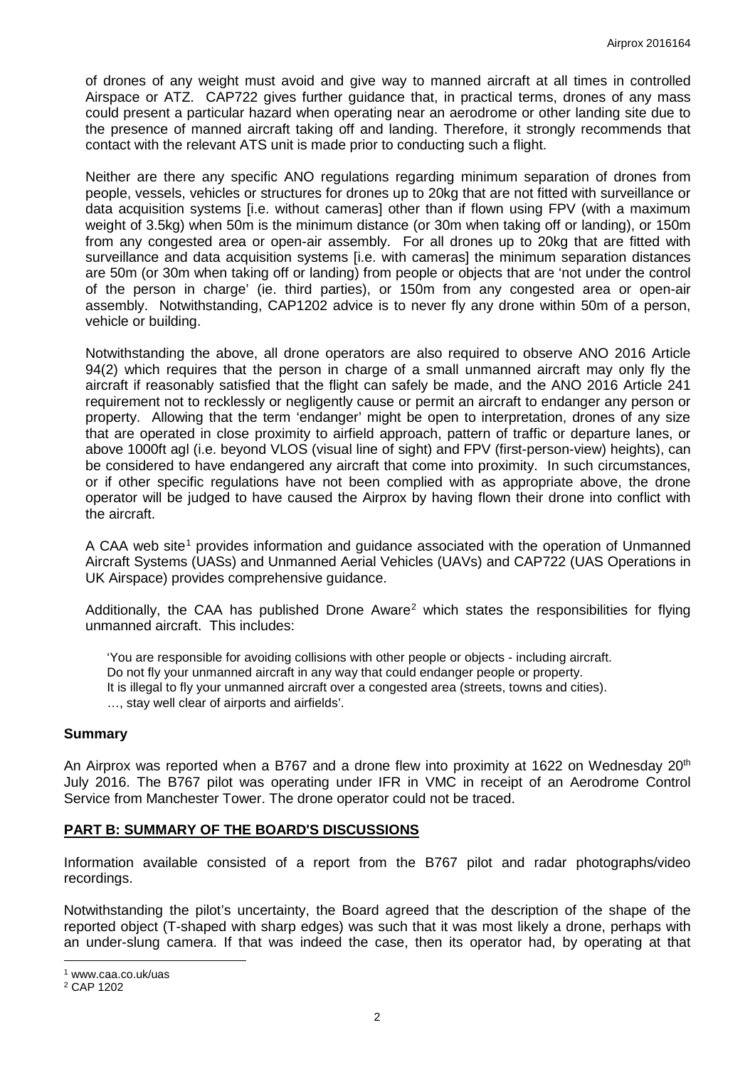of drones of any weight must avoid and give way to manned aircraft at all times in controlled Airspace or ATZ. CAP722 gives further guidance that, in practical terms, drones of any mass could present a particular hazard when operating near an aerodrome or other landing site due to the presence of manned aircraft taking off and landing. Therefore, it strongly recommends that contact with the relevant ATS unit is made prior to conducting such a flight.

Neither are there any specific ANO regulations regarding minimum separation of drones from people, vessels, vehicles or structures for drones up to 20kg that are not fitted with surveillance or data acquisition systems [i.e. without cameras] other than if flown using FPV (with a maximum weight of 3.5kg) when 50m is the minimum distance (or 30m when taking off or landing), or 150m from any congested area or open-air assembly. For all drones up to 20kg that are fitted with surveillance and data acquisition systems [i.e. with cameras] the minimum separation distances are 50m (or 30m when taking off or landing) from people or objects that are 'not under the control of the person in charge' (ie. third parties), or 150m from any congested area or open-air assembly. Notwithstanding, CAP1202 advice is to never fly any drone within 50m of a person, vehicle or building.

Notwithstanding the above, all drone operators are also required to observe ANO 2016 Article 94(2) which requires that the person in charge of a small unmanned aircraft may only fly the aircraft if reasonably satisfied that the flight can safely be made, and the ANO 2016 Article 241 requirement not to recklessly or negligently cause or permit an aircraft to endanger any person or property. Allowing that the term 'endanger' might be open to interpretation, drones of any size that are operated in close proximity to airfield approach, pattern of traffic or departure lanes, or above 1000ft agl (i.e. beyond VLOS (visual line of sight) and FPV (first-person-view) heights), can be considered to have endangered any aircraft that come into proximity. In such circumstances, or if other specific regulations have not been complied with as appropriate above, the drone operator will be judged to have caused the Airprox by having flown their drone into conflict with the aircraft.

A CAA web site<sup>[1](#page-1-0)</sup> provides information and guidance associated with the operation of Unmanned Aircraft Systems (UASs) and Unmanned Aerial Vehicles (UAVs) and CAP722 (UAS Operations in UK Airspace) provides comprehensive guidance.

Additionally, the CAA has published Drone Aware<sup>2</sup> which states the responsibilities for flying unmanned aircraft. This includes:

'You are responsible for avoiding collisions with other people or objects - including aircraft. Do not fly your unmanned aircraft in any way that could endanger people or property. It is illegal to fly your unmanned aircraft over a congested area (streets, towns and cities). …, stay well clear of airports and airfields'.

#### **Summary**

An Airprox was reported when a B767 and a drone flew into proximity at 1622 on Wednesday 20<sup>th</sup> July 2016. The B767 pilot was operating under IFR in VMC in receipt of an Aerodrome Control Service from Manchester Tower. The drone operator could not be traced.

#### **PART B: SUMMARY OF THE BOARD'S DISCUSSIONS**

Information available consisted of a report from the B767 pilot and radar photographs/video recordings.

Notwithstanding the pilot's uncertainty, the Board agreed that the description of the shape of the reported object (T-shaped with sharp edges) was such that it was most likely a drone, perhaps with an under-slung camera. If that was indeed the case, then its operator had, by operating at that

l

<span id="page-1-0"></span><sup>1</sup> www.caa.co.uk/uas

<span id="page-1-1"></span><sup>2</sup> CAP 1202